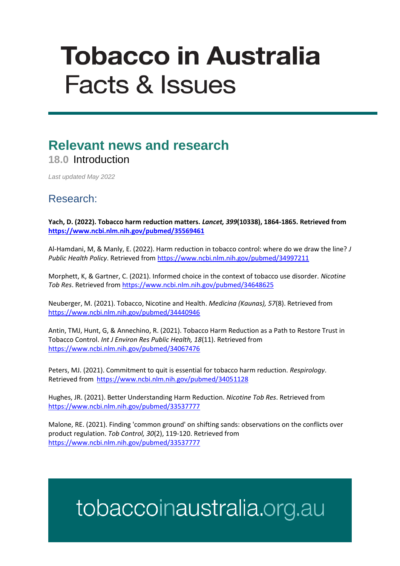# **Tobacco in Australia Facts & Issues**

### **Relevant news and research 18.0** Introduction

*Last updated May 2022*

#### Research:

**Yach, D. (2022). Tobacco harm reduction matters.** *Lancet, 399***(10338), 1864-1865. Retrieved from <https://www.ncbi.nlm.nih.gov/pubmed/35569461>**

Al-Hamdani, M, & Manly, E. (2022). Harm reduction in tobacco control: where do we draw the line? *J Public Health Policy*. Retrieved from<https://www.ncbi.nlm.nih.gov/pubmed/34997211>

Morphett, K, & Gartner, C. (2021). Informed choice in the context of tobacco use disorder. *Nicotine Tob Res*. Retrieved from<https://www.ncbi.nlm.nih.gov/pubmed/34648625>

Neuberger, M. (2021). Tobacco, Nicotine and Health. *Medicina (Kaunas), 57*(8). Retrieved from <https://www.ncbi.nlm.nih.gov/pubmed/34440946>

Antin, TMJ, Hunt, G, & Annechino, R. (2021). Tobacco Harm Reduction as a Path to Restore Trust in Tobacco Control. *Int J Environ Res Public Health, 18*(11). Retrieved from <https://www.ncbi.nlm.nih.gov/pubmed/34067476>

Peters, MJ. (2021). Commitment to quit is essential for tobacco harm reduction. *Respirology*. Retrieved from<https://www.ncbi.nlm.nih.gov/pubmed/34051128>

Hughes, JR. (2021). Better Understanding Harm Reduction. *Nicotine Tob Res*. Retrieved from <https://www.ncbi.nlm.nih.gov/pubmed/33537777>

Malone, RE. (2021). Finding 'common ground' on shifting sands: observations on the conflicts over product regulation. *Tob Control, 30*(2), 119-120. Retrieved from <https://www.ncbi.nlm.nih.gov/pubmed/33537777>

## tobaccoinaustralia.org.au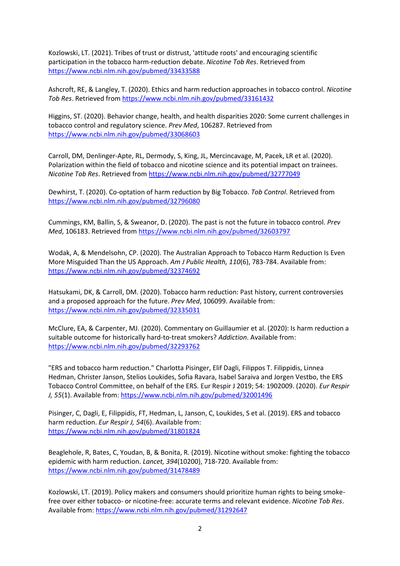Kozlowski, LT. (2021). Tribes of trust or distrust, 'attitude roots' and encouraging scientific participation in the tobacco harm-reduction debate. *Nicotine Tob Res*. Retrieved from <https://www.ncbi.nlm.nih.gov/pubmed/33433588>

Ashcroft, RE, & Langley, T. (2020). Ethics and harm reduction approaches in tobacco control. *Nicotine Tob Res*. Retrieved from<https://www.ncbi.nlm.nih.gov/pubmed/33161432>

Higgins, ST. (2020). Behavior change, health, and health disparities 2020: Some current challenges in tobacco control and regulatory science. *Prev Med*, 106287. Retrieved from <https://www.ncbi.nlm.nih.gov/pubmed/33068603>

Carroll, DM, Denlinger-Apte, RL, Dermody, S, King, JL, Mercincavage, M, Pacek, LR et al. (2020). Polarization within the field of tobacco and nicotine science and its potential impact on trainees. *Nicotine Tob Res*. Retrieved from<https://www.ncbi.nlm.nih.gov/pubmed/32777049>

Dewhirst, T. (2020). Co-optation of harm reduction by Big Tobacco. *Tob Control*. Retrieved from <https://www.ncbi.nlm.nih.gov/pubmed/32796080>

Cummings, KM, Ballin, S, & Sweanor, D. (2020). The past is not the future in tobacco control. *Prev Med*, 106183. Retrieved from <https://www.ncbi.nlm.nih.gov/pubmed/32603797>

Wodak, A, & Mendelsohn, CP. (2020). The Australian Approach to Tobacco Harm Reduction Is Even More Misguided Than the US Approach. *Am J Public Health, 110*(6), 783-784. Available from: <https://www.ncbi.nlm.nih.gov/pubmed/32374692>

Hatsukami, DK, & Carroll, DM. (2020). Tobacco harm reduction: Past history, current controversies and a proposed approach for the future. *Prev Med*, 106099. Available from: <https://www.ncbi.nlm.nih.gov/pubmed/32335031>

McClure, EA, & Carpenter, MJ. (2020). Commentary on Guillaumier et al. (2020): Is harm reduction a suitable outcome for historically hard-to-treat smokers? *Addiction*. Available from: <https://www.ncbi.nlm.nih.gov/pubmed/32293762>

"ERS and tobacco harm reduction." Charlotta Pisinger, Elif Dagli, Filippos T. Filippidis, Linnea Hedman, Christer Janson, Stelios Loukides, Sofia Ravara, Isabel Saraiva and Jorgen Vestbo, the ERS Tobacco Control Committee, on behalf of the ERS. Eur Respir J 2019; 54: 1902009. (2020). *Eur Respir J, 55*(1). Available from:<https://www.ncbi.nlm.nih.gov/pubmed/32001496>

Pisinger, C, Dagli, E, Filippidis, FT, Hedman, L, Janson, C, Loukides, S et al. (2019). ERS and tobacco harm reduction. *Eur Respir J, 54*(6). Available from: <https://www.ncbi.nlm.nih.gov/pubmed/31801824>

Beaglehole, R, Bates, C, Youdan, B, & Bonita, R. (2019). Nicotine without smoke: fighting the tobacco epidemic with harm reduction. *Lancet, 394*(10200), 718-720. Available from: <https://www.ncbi.nlm.nih.gov/pubmed/31478489>

Kozlowski, LT. (2019). Policy makers and consumers should prioritize human rights to being smokefree over either tobacco- or nicotine-free: accurate terms and relevant evidence. *Nicotine Tob Res*. Available from[: https://www.ncbi.nlm.nih.gov/pubmed/31292647](https://www.ncbi.nlm.nih.gov/pubmed/31292647)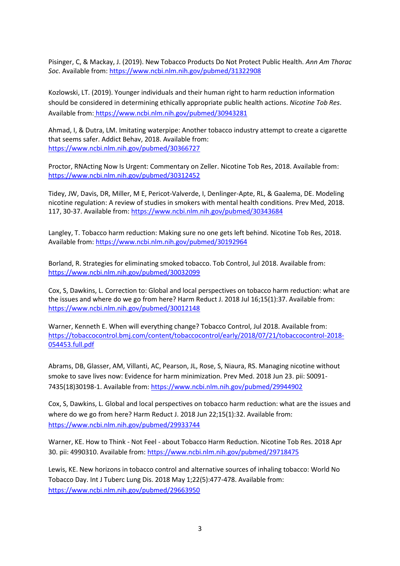Pisinger, C, & Mackay, J. (2019). New Tobacco Products Do Not Protect Public Health. *Ann Am Thorac Soc*. Available from:<https://www.ncbi.nlm.nih.gov/pubmed/31322908>

Kozlowski, LT. (2019). Younger individuals and their human right to harm reduction information should be considered in determining ethically appropriate public health actions. *Nicotine Tob Res*. Available from: <https://www.ncbi.nlm.nih.gov/pubmed/30943281>

Ahmad, I, & Dutra, LM. Imitating waterpipe: Another tobacco industry attempt to create a cigarette that seems safer. Addict Behav, 2018. Available from: <https://www.ncbi.nlm.nih.gov/pubmed/30366727>

Proctor, RNActing Now Is Urgent: Commentary on Zeller. Nicotine Tob Res, 2018. Available from: <https://www.ncbi.nlm.nih.gov/pubmed/30312452>

Tidey, JW, Davis, DR, Miller, M E, Pericot-Valverde, I, Denlinger-Apte, RL, & Gaalema, DE. Modeling nicotine regulation: A review of studies in smokers with mental health conditions. Prev Med, 2018. 117, 30-37. Available from: <https://www.ncbi.nlm.nih.gov/pubmed/30343684>

Langley, T. Tobacco harm reduction: Making sure no one gets left behind. Nicotine Tob Res, 2018. Available from[: https://www.ncbi.nlm.nih.gov/pubmed/30192964](https://www.ncbi.nlm.nih.gov/pubmed/30192964)

Borland, R. Strategies for eliminating smoked tobacco. Tob Control, Jul 2018. Available from: <https://www.ncbi.nlm.nih.gov/pubmed/30032099>

Cox, S, Dawkins, L. Correction to: Global and local perspectives on tobacco harm reduction: what are the issues and where do we go from here? Harm Reduct J. 2018 Jul 16;15(1):37. Available from: <https://www.ncbi.nlm.nih.gov/pubmed/30012148>

Warner, Kenneth E. When will everything change? Tobacco Control, Jul 2018. Available from: [https://tobaccocontrol.bmj.com/content/tobaccocontrol/early/2018/07/21/tobaccocontrol-2018-](https://tobaccocontrol.bmj.com/content/tobaccocontrol/early/2018/07/21/tobaccocontrol-2018-054453.full.pdf) [054453.full.pdf](https://tobaccocontrol.bmj.com/content/tobaccocontrol/early/2018/07/21/tobaccocontrol-2018-054453.full.pdf)

Abrams, DB, Glasser, AM, Villanti, AC, Pearson, JL, Rose, S, Niaura, RS. Managing nicotine without smoke to save lives now: Evidence for harm minimization. Prev Med. 2018 Jun 23. pii: S0091- 7435(18)30198-1. Available from[: https://www.ncbi.nlm.nih.gov/pubmed/29944902](https://www.ncbi.nlm.nih.gov/pubmed/29944902)

Cox, S, Dawkins, L. Global and local perspectives on tobacco harm reduction: what are the issues and where do we go from here? Harm Reduct J. 2018 Jun 22;15(1):32. Available from: <https://www.ncbi.nlm.nih.gov/pubmed/29933744>

Warner, KE. How to Think - Not Feel - about Tobacco Harm Reduction. Nicotine Tob Res. 2018 Apr 30. pii: 4990310. Available from:<https://www.ncbi.nlm.nih.gov/pubmed/29718475>

Lewis, KE. New horizons in tobacco control and alternative sources of inhaling tobacco: World No Tobacco Day. Int J Tuberc Lung Dis. 2018 May 1;22(5):477-478. Available from: <https://www.ncbi.nlm.nih.gov/pubmed/29663950>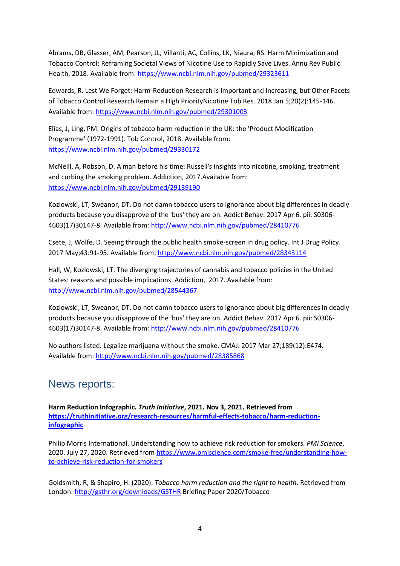Abrams, DB, Glasser, AM, Pearson, JL, Villanti, AC, Collins, LK, Niaura, RS. Harm Minimization and Tobacco Control: Reframing Societal Views of Nicotine Use to Rapidly Save Lives. Annu Rev Public Health, 2018. Available from:<https://www.ncbi.nlm.nih.gov/pubmed/29323611>

Edwards, R. Lest We Forget: Harm-Reduction Research is Important and Increasing, but Other Facets of Tobacco Control Research Remain a High PriorityNicotine Tob Res. 2018 Jan 5;20(2):145-146. Available from[: https://www.ncbi.nlm.nih.gov/pubmed/29301003](https://www.ncbi.nlm.nih.gov/pubmed/29301003)

Elias, J, Ling, PM. Origins of tobacco harm reduction in the UK: the 'Product Modification Programme' (1972-1991). Tob Control, 2018. Available from: <https://www.ncbi.nlm.nih.gov/pubmed/29330172>

McNeill, A, Robson, D. A man before his time: Russell's insights into nicotine, smoking, treatment and curbing the smoking problem. Addiction, 2017.Available from: <https://www.ncbi.nlm.nih.gov/pubmed/29139190>

Kozlowski, LT, Sweanor, DT. Do not damn tobacco users to ignorance about big differences in deadly products because you disapprove of the 'bus' they are on. Addict Behav. 2017 Apr 6. pii: S0306- 4603(17)30147-8. Available from[: http://www.ncbi.nlm.nih.gov/pubmed/28410776](http://www.ncbi.nlm.nih.gov/pubmed/28410776)

Csete, J, Wolfe, D. Seeing through the public health smoke-screen in drug policy. Int J Drug Policy. 2017 May;43:91-95. Available from:<http://www.ncbi.nlm.nih.gov/pubmed/28343114>

Hall, W, Kozlowski, LT. The diverging trajectories of cannabis and tobacco policies in the United States: reasons and possible implications. Addiction, 2017. Available from: <http://www.ncbi.nlm.nih.gov/pubmed/28544367>

Kozlowski, LT, Sweanor, DT. Do not damn tobacco users to ignorance about big differences in deadly products because you disapprove of the 'bus' they are on. Addict Behav. 2017 Apr 6. pii: S0306- 4603(17)30147-8. Available from[: http://www.ncbi.nlm.nih.gov/pubmed/28410776](http://www.ncbi.nlm.nih.gov/pubmed/28410776)

No authors listed. Legalize marijuana without the smoke. CMAJ. 2017 Mar 27;189(12):E474. Available from[: http://www.ncbi.nlm.nih.gov/pubmed/28385868](http://www.ncbi.nlm.nih.gov/pubmed/28385868)

#### News reports:

**Harm Reduction Infographic.** *Truth Initiative***, 2021. Nov 3, 2021. Retrieved from [https://truthinitiative.org/research-resources/harmful-effects-tobacco/harm-reduction](https://truthinitiative.org/research-resources/harmful-effects-tobacco/harm-reduction-infographic)[infographic](https://truthinitiative.org/research-resources/harmful-effects-tobacco/harm-reduction-infographic)**

Philip Morris International. Understanding how to achieve risk reduction for smokers. *PMI Science*, 2020. July 27, 2020. Retrieved fro[m https://www.pmiscience.com/smoke-free/understanding-how](https://www.pmiscience.com/smoke-free/understanding-how-to-achieve-risk-reduction-for-smokers)[to-achieve-risk-reduction-for-smokers](https://www.pmiscience.com/smoke-free/understanding-how-to-achieve-risk-reduction-for-smokers)

Goldsmith, R, & Shapiro, H. (2020). *Tobacco harm reduction and the right to health*. Retrieved from London:<http://gsthr.org/downloads/GSTHR> Briefing Paper 2020/Tobacco